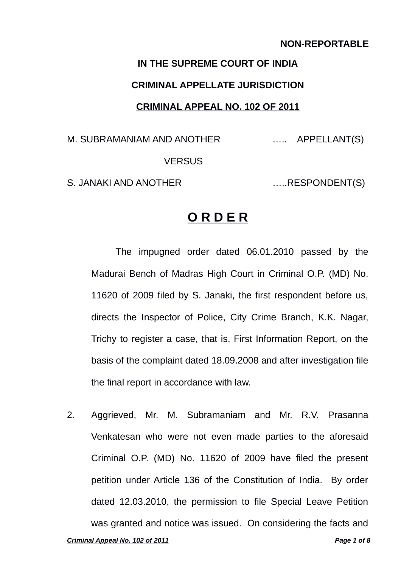#### **NON-REPORTABLE**

# **IN THE SUPREME COURT OF INDIA CRIMINAL APPELLATE JURISDICTION CRIMINAL APPEAL NO. 102 OF 2011**

M. SUBRAMANIAM AND ANOTHER ….. APPELLANT(S) **VERSUS** 

S. JANAKI AND ANOTHER .......RESPONDENT(S)

## **O R D E R**

The impugned order dated 06.01.2010 passed by the Madurai Bench of Madras High Court in Criminal O.P. (MD) No. 11620 of 2009 filed by S. Janaki, the first respondent before us, directs the Inspector of Police, City Crime Branch, K.K. Nagar, Trichy to register a case, that is, First Information Report, on the basis of the complaint dated 18.09.2008 and after investigation file the final report in accordance with law.

2. Aggrieved, Mr. M. Subramaniam and Mr. R.V. Prasanna Venkatesan who were not even made parties to the aforesaid Criminal O.P. (MD) No. 11620 of 2009 have filed the present petition under Article 136 of the Constitution of India. By order dated 12.03.2010, the permission to file Special Leave Petition was granted and notice was issued. On considering the facts and *Criminal Appeal No. 102 of 2011 Page 1 of 8*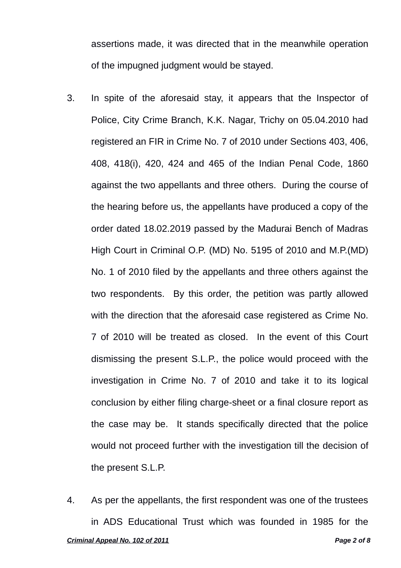assertions made, it was directed that in the meanwhile operation of the impugned judgment would be stayed.

- 3. In spite of the aforesaid stay, it appears that the Inspector of Police, City Crime Branch, K.K. Nagar, Trichy on 05.04.2010 had registered an FIR in Crime No. 7 of 2010 under Sections 403, 406, 408, 418(i), 420, 424 and 465 of the Indian Penal Code, 1860 against the two appellants and three others. During the course of the hearing before us, the appellants have produced a copy of the order dated 18.02.2019 passed by the Madurai Bench of Madras High Court in Criminal O.P. (MD) No. 5195 of 2010 and M.P.(MD) No. 1 of 2010 filed by the appellants and three others against the two respondents. By this order, the petition was partly allowed with the direction that the aforesaid case registered as Crime No. 7 of 2010 will be treated as closed. In the event of this Court dismissing the present S.L.P., the police would proceed with the investigation in Crime No. 7 of 2010 and take it to its logical conclusion by either filing charge-sheet or a final closure report as the case may be. It stands specifically directed that the police would not proceed further with the investigation till the decision of the present S.L.P.
- 4. As per the appellants, the first respondent was one of the trustees in ADS Educational Trust which was founded in 1985 for the *Criminal Appeal No. 102 of 2011 Page 2 of 8*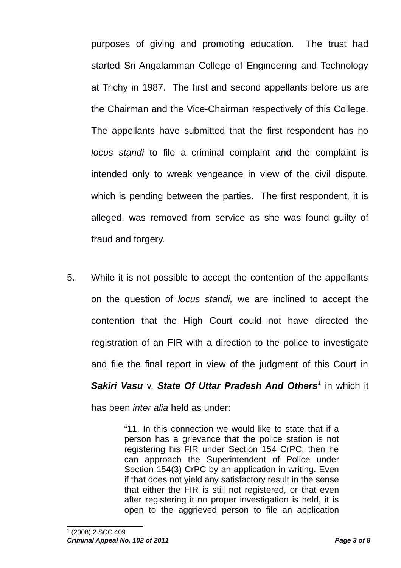purposes of giving and promoting education. The trust had started Sri Angalamman College of Engineering and Technology at Trichy in 1987. The first and second appellants before us are the Chairman and the Vice-Chairman respectively of this College. The appellants have submitted that the first respondent has no *locus standi* to file a criminal complaint and the complaint is intended only to wreak vengeance in view of the civil dispute, which is pending between the parties. The first respondent, it is alleged, was removed from service as she was found guilty of fraud and forgery.

5. While it is not possible to accept the contention of the appellants on the question of *locus standi,* we are inclined to accept the contention that the High Court could not have directed the registration of an FIR with a direction to the police to investigate and file the final report in view of the judgment of this Court in *Sakiri Vasu* v. *State Of Uttar Pradesh And Others[1](#page-2-0)* in which it has been *inter alia* held as under:

> "11. In this connection we would like to state that if a person has a grievance that the police station is not registering his FIR under Section 154 CrPC, then he can approach the Superintendent of Police under Section 154(3) CrPC by an application in writing. Even if that does not yield any satisfactory result in the sense that either the FIR is still not registered, or that even after registering it no proper investigation is held, it is open to the aggrieved person to file an application

<span id="page-2-0"></span><sup>1</sup> (2008) 2 SCC 409

*Criminal Appeal No. 102 of 2011 Page 3 of 8*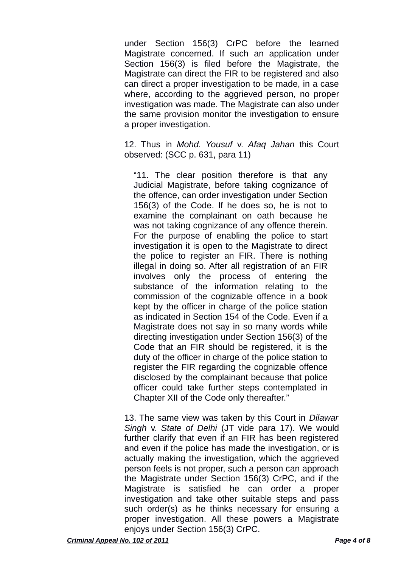under Section 156(3) CrPC before the learned Magistrate concerned. If such an application under Section 156(3) is filed before the Magistrate, the Magistrate can direct the FIR to be registered and also can direct a proper investigation to be made, in a case where, according to the aggrieved person, no proper investigation was made. The Magistrate can also under the same provision monitor the investigation to ensure a proper investigation.

12. Thus in *Mohd. Yousuf* v. *Afaq Jahan* this Court observed: (SCC p. 631, para 11)

"11. The clear position therefore is that any Judicial Magistrate, before taking cognizance of the offence, can order investigation under Section 156(3) of the Code. If he does so, he is not to examine the complainant on oath because he was not taking cognizance of any offence therein. For the purpose of enabling the police to start investigation it is open to the Magistrate to direct the police to register an FIR. There is nothing illegal in doing so. After all registration of an FIR involves only the process of entering the substance of the information relating to the commission of the cognizable offence in a book kept by the officer in charge of the police station as indicated in Section 154 of the Code. Even if a Magistrate does not say in so many words while directing investigation under Section 156(3) of the Code that an FIR should be registered, it is the duty of the officer in charge of the police station to register the FIR regarding the cognizable offence disclosed by the complainant because that police officer could take further steps contemplated in Chapter XII of the Code only thereafter."

13. The same view was taken by this Court in *Dilawar Singh* v. *State of Delhi* (JT vide para 17). We would further clarify that even if an FIR has been registered and even if the police has made the investigation, or is actually making the investigation, which the aggrieved person feels is not proper, such a person can approach the Magistrate under Section 156(3) CrPC, and if the Magistrate is satisfied he can order a proper investigation and take other suitable steps and pass such order(s) as he thinks necessary for ensuring a proper investigation. All these powers a Magistrate enjoys under Section 156(3) CrPC.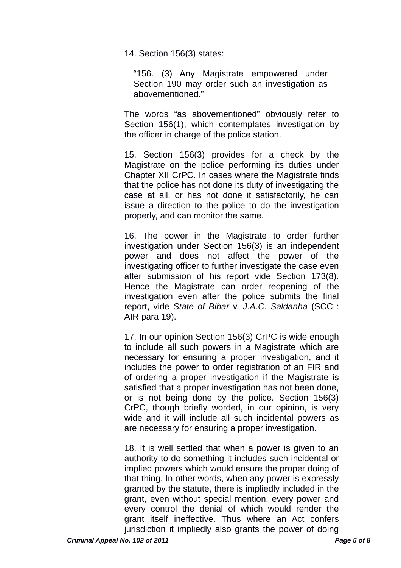14. Section 156(3) states:

"156. (3) Any Magistrate empowered under Section 190 may order such an investigation as abovementioned."

The words "as abovementioned" obviously refer to Section 156(1), which contemplates investigation by the officer in charge of the police station.

15. Section 156(3) provides for a check by the Magistrate on the police performing its duties under Chapter XII CrPC. In cases where the Magistrate finds that the police has not done its duty of investigating the case at all, or has not done it satisfactorily, he can issue a direction to the police to do the investigation properly, and can monitor the same.

16. The power in the Magistrate to order further investigation under Section 156(3) is an independent power and does not affect the power of the investigating officer to further investigate the case even after submission of his report vide Section 173(8). Hence the Magistrate can order reopening of the investigation even after the police submits the final report, vide *State of Bihar* v. *J.A.C. Saldanha* (SCC : AIR para 19).

17. In our opinion Section 156(3) CrPC is wide enough to include all such powers in a Magistrate which are necessary for ensuring a proper investigation, and it includes the power to order registration of an FIR and of ordering a proper investigation if the Magistrate is satisfied that a proper investigation has not been done, or is not being done by the police. Section 156(3) CrPC, though briefly worded, in our opinion, is very wide and it will include all such incidental powers as are necessary for ensuring a proper investigation.

18. It is well settled that when a power is given to an authority to do something it includes such incidental or implied powers which would ensure the proper doing of that thing. In other words, when any power is expressly granted by the statute, there is impliedly included in the grant, even without special mention, every power and every control the denial of which would render the grant itself ineffective. Thus where an Act confers jurisdiction it impliedly also grants the power of doing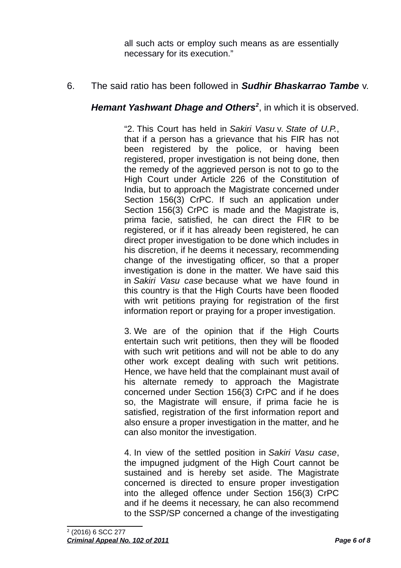all such acts or employ such means as are essentially necessary for its execution."

## 6. The said ratio has been followed in *Sudhir Bhaskarrao Tambe* v.

### *Hemant Yashwant Dhage and Others[2](#page-5-0)* , in which it is observed.

"2. This Court has held in *Sakiri Vasu* v. *State of U.P.*, that if a person has a grievance that his FIR has not been registered by the police, or having been registered, proper investigation is not being done, then the remedy of the aggrieved person is not to go to the High Court under Article 226 of the Constitution of India, but to approach the Magistrate concerned under Section 156(3) CrPC. If such an application under Section 156(3) CrPC is made and the Magistrate is, prima facie, satisfied, he can direct the FIR to be registered, or if it has already been registered, he can direct proper investigation to be done which includes in his discretion, if he deems it necessary, recommending change of the investigating officer, so that a proper investigation is done in the matter. We have said this in *Sakiri Vasu case* because what we have found in this country is that the High Courts have been flooded with writ petitions praying for registration of the first information report or praying for a proper investigation.

3. We are of the opinion that if the High Courts entertain such writ petitions, then they will be flooded with such writ petitions and will not be able to do any other work except dealing with such writ petitions. Hence, we have held that the complainant must avail of his alternate remedy to approach the Magistrate concerned under Section 156(3) CrPC and if he does so, the Magistrate will ensure, if prima facie he is satisfied, registration of the first information report and also ensure a proper investigation in the matter, and he can also monitor the investigation.

<span id="page-5-0"></span>4. In view of the settled position in *Sakiri Vasu case*, the impugned judgment of the High Court cannot be sustained and is hereby set aside. The Magistrate concerned is directed to ensure proper investigation into the alleged offence under Section 156(3) CrPC and if he deems it necessary, he can also recommend to the SSP/SP concerned a change of the investigating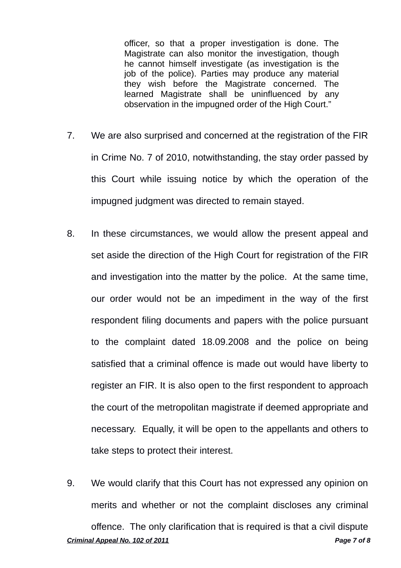officer, so that a proper investigation is done. The Magistrate can also monitor the investigation, though he cannot himself investigate (as investigation is the job of the police). Parties may produce any material they wish before the Magistrate concerned. The learned Magistrate shall be uninfluenced by any observation in the impugned order of the High Court."

- 7. We are also surprised and concerned at the registration of the FIR in Crime No. 7 of 2010, notwithstanding, the stay order passed by this Court while issuing notice by which the operation of the impugned judgment was directed to remain stayed.
- 8. In these circumstances, we would allow the present appeal and set aside the direction of the High Court for registration of the FIR and investigation into the matter by the police. At the same time, our order would not be an impediment in the way of the first respondent filing documents and papers with the police pursuant to the complaint dated 18.09.2008 and the police on being satisfied that a criminal offence is made out would have liberty to register an FIR. It is also open to the first respondent to approach the court of the metropolitan magistrate if deemed appropriate and necessary. Equally, it will be open to the appellants and others to take steps to protect their interest.
- 9. We would clarify that this Court has not expressed any opinion on merits and whether or not the complaint discloses any criminal